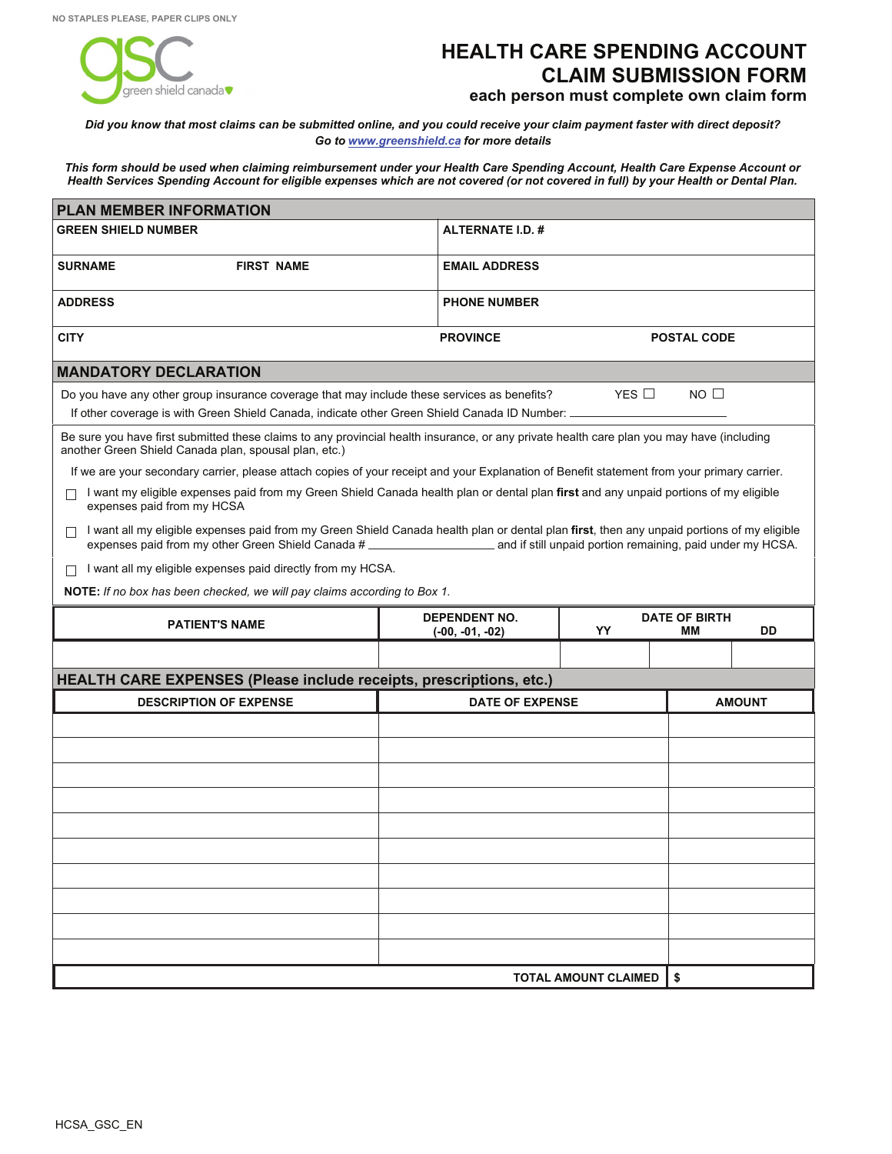

## **HEALTH CARE SPENDING ACCOUNT CLAIM SUBMISSION FORM each person must complete own claim form**

*Did you know that most claims can be submitted online, and you could receive your claim payment faster with direct deposit? Go to<www.greenshield.ca>for more details*

*This form should be used when claiming reimbursement under your Health Care Spending Account, Health Care Expense Account or Health Services Spending Account for eligible expenses which are not covered (or not covered in full) by your Health or Dental Plan.*

| <b>GREEN SHIELD NUMBER</b>                                                                                                                                                                                                                                                                       | <b>ALTERNATE I.D. #</b>                                             |                                        |                    |               |  |  |  |  |  |
|--------------------------------------------------------------------------------------------------------------------------------------------------------------------------------------------------------------------------------------------------------------------------------------------------|---------------------------------------------------------------------|----------------------------------------|--------------------|---------------|--|--|--|--|--|
| <b>SURNAME</b><br><b>FIRST NAME</b>                                                                                                                                                                                                                                                              | <b>EMAIL ADDRESS</b>                                                |                                        |                    |               |  |  |  |  |  |
| <b>ADDRESS</b>                                                                                                                                                                                                                                                                                   | <b>PHONE NUMBER</b>                                                 |                                        |                    |               |  |  |  |  |  |
| <b>CITY</b>                                                                                                                                                                                                                                                                                      | <b>PROVINCE</b>                                                     |                                        | <b>POSTAL CODE</b> |               |  |  |  |  |  |
| <b>MANDATORY DECLARATION</b>                                                                                                                                                                                                                                                                     |                                                                     |                                        |                    |               |  |  |  |  |  |
| Do you have any other group insurance coverage that may include these services as benefits?                                                                                                                                                                                                      | $NO$ $\Box$                                                         |                                        |                    |               |  |  |  |  |  |
| If other coverage is with Green Shield Canada, indicate other Green Shield Canada ID Number: ___                                                                                                                                                                                                 |                                                                     |                                        |                    |               |  |  |  |  |  |
| Be sure you have first submitted these claims to any provincial health insurance, or any private health care plan you may have (including<br>another Green Shield Canada plan, spousal plan, etc.)                                                                                               |                                                                     |                                        |                    |               |  |  |  |  |  |
| If we are your secondary carrier, please attach copies of your receipt and your Explanation of Benefit statement from your primary carrier.                                                                                                                                                      |                                                                     |                                        |                    |               |  |  |  |  |  |
| I want my eligible expenses paid from my Green Shield Canada health plan or dental plan first and any unpaid portions of my eligible<br>expenses paid from my HCSA                                                                                                                               |                                                                     |                                        |                    |               |  |  |  |  |  |
| I want all my eligible expenses paid from my Green Shield Canada health plan or dental plan first, then any unpaid portions of my eligible<br>П<br>expenses paid from my other Green Shield Canada # ________________________________ and if still unpaid portion remaining, paid under my HCSA. |                                                                     |                                        |                    |               |  |  |  |  |  |
| I want all my eligible expenses paid directly from my HCSA.<br>П                                                                                                                                                                                                                                 |                                                                     |                                        |                    |               |  |  |  |  |  |
| NOTE: If no box has been checked, we will pay claims according to Box 1.                                                                                                                                                                                                                         |                                                                     |                                        |                    |               |  |  |  |  |  |
| <b>PATIENT'S NAME</b>                                                                                                                                                                                                                                                                            | <b>DEPENDENT NO.</b><br>$(-00, -01, -02)$                           | <b>DATE OF BIRTH</b><br>YY<br>MМ<br>DD |                    |               |  |  |  |  |  |
|                                                                                                                                                                                                                                                                                                  |                                                                     |                                        |                    |               |  |  |  |  |  |
|                                                                                                                                                                                                                                                                                                  | HEALTH CARE EXPENSES (Please include receipts, prescriptions, etc.) |                                        |                    |               |  |  |  |  |  |
|                                                                                                                                                                                                                                                                                                  | <b>DESCRIPTION OF EXPENSE</b><br><b>DATE OF EXPENSE</b>             |                                        |                    |               |  |  |  |  |  |
|                                                                                                                                                                                                                                                                                                  |                                                                     |                                        |                    | <b>AMOUNT</b> |  |  |  |  |  |
|                                                                                                                                                                                                                                                                                                  |                                                                     |                                        |                    |               |  |  |  |  |  |
|                                                                                                                                                                                                                                                                                                  |                                                                     |                                        |                    |               |  |  |  |  |  |
|                                                                                                                                                                                                                                                                                                  |                                                                     |                                        |                    |               |  |  |  |  |  |
|                                                                                                                                                                                                                                                                                                  |                                                                     |                                        |                    |               |  |  |  |  |  |
|                                                                                                                                                                                                                                                                                                  |                                                                     |                                        |                    |               |  |  |  |  |  |
|                                                                                                                                                                                                                                                                                                  |                                                                     |                                        |                    |               |  |  |  |  |  |
|                                                                                                                                                                                                                                                                                                  |                                                                     |                                        |                    |               |  |  |  |  |  |
|                                                                                                                                                                                                                                                                                                  |                                                                     |                                        |                    |               |  |  |  |  |  |
|                                                                                                                                                                                                                                                                                                  |                                                                     |                                        |                    |               |  |  |  |  |  |
|                                                                                                                                                                                                                                                                                                  |                                                                     |                                        |                    |               |  |  |  |  |  |